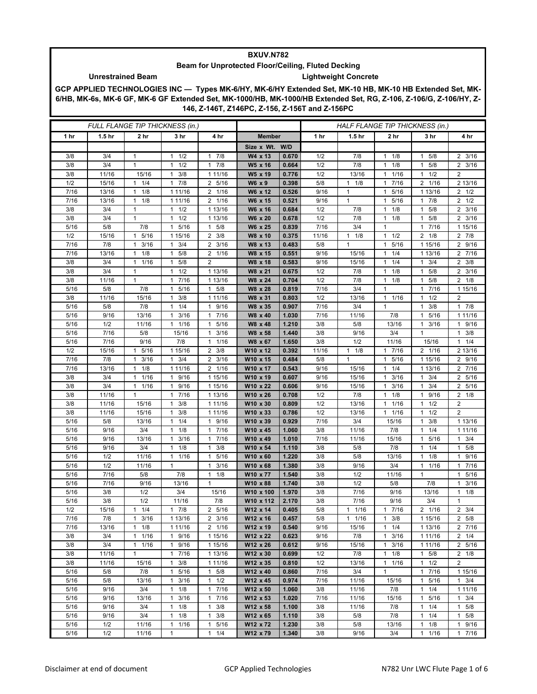## **BXUV.N782**

## **Beam for Unprotected Floor/Ceiling, Fluted Decking**

## **Unrestrained Beam Lightweight Concrete**

**GCP APPLIED TECHNOLOGIES INC — Types MK-6/HY, MK-6/HY Extended Set, MK-10 HB, MK-10 HB Extended Set, MK-6/HB, MK-6s, MK-6 GF, MK-6 GF Extended Set, MK-1000/HB, MK-1000/HB Extended Set, RG, Z-106, Z-106/G, Z-106/HY, Z-146, Z-146T, Z146PC, Z-156, Z-156T and Z-156PC**

| FULL FLANGE TIP THICKNESS (in.) |                   |                                   |                                             |                                 |                      | HALF FLANGE TIP THICKNESS (in.) |             |                   |                                             |                                 |                                     |
|---------------------------------|-------------------|-----------------------------------|---------------------------------------------|---------------------------------|----------------------|---------------------------------|-------------|-------------------|---------------------------------------------|---------------------------------|-------------------------------------|
| 1 hr                            | 1.5 <sub>hr</sub> | 2 <sub>hr</sub>                   | 3 hr                                        | 4 hr                            | <b>Member</b>        |                                 | 1 hr        | 1.5 <sub>hr</sub> | 2 <sub>hr</sub>                             | 3 hr                            | 4 hr                                |
|                                 |                   |                                   |                                             |                                 | Size x Wt. W/D       |                                 |             |                   |                                             |                                 |                                     |
| 3/8                             | 3/4               | $\mathbf{1}$                      | 1/2<br>$\mathbf{1}$                         | 7/8<br>$\mathbf{1}$             | W4 x 13              | 0.670                           | 1/2         | 7/8               | $\mathbf{1}$<br>1/8                         | 5/8<br>1                        | $2 \frac{3}{16}$                    |
| 3/8                             | 3/4               | $\mathbf{1}$                      | 1/2<br>$\mathbf{1}$                         | 7/8<br>$\mathbf{1}$             | W5 x 16              | 0.664                           | 1/2         | 7/8               | 1/8<br>1                                    | 5/8<br>1                        | $2 \frac{3}{16}$                    |
| 3/8                             | 11/16             | 15/16                             | 3/8<br>1                                    | 1 11/16                         | W5 x 19              | 0.776                           | 1/2         | 13/16             | 1/16<br>$\mathbf{1}$                        | 1/2<br>1                        | $\overline{2}$                      |
| 1/2                             | 15/16             | $1 \t1/4$                         | 7/8<br>$\mathbf{1}$                         | 2 5/16                          | W6 x 9               | 0.398                           | 5/8         | $1 \t1/8$         | 7/16<br>$\mathbf{1}$                        | 2 1/16                          | 2 13/16                             |
| 7/16                            | 13/16             | 1/8<br>$\mathbf{1}$               | 1 11/16                                     | 2 1/16                          | W6 x 12              | 0.526                           | 9/16        | $\mathbf{1}$      | 5/16<br>$\mathbf{1}$                        | 1 13/16                         | $2 \frac{1}{2}$                     |
| 7/16                            | 13/16             | 1/8<br>$\mathbf{1}$               | 1 11/16                                     | 2 1/16                          | W6 x 15              | 0.521                           | 9/16        | $\mathbf{1}$      | 5/16<br>$\mathbf{1}$                        | $1 \t7/8$                       | $2 \frac{1}{2}$                     |
| 3/8                             | 3/4               | 1                                 | $1 \t1/2$                                   | 1 13/16                         | W6 x 16              | 0.684                           | 1/2         | 7/8               | 1/8<br>$\mathbf{1}$                         | 5/8<br>1                        | $2 \frac{3}{16}$                    |
| 3/8                             | 3/4               | $\mathbf{1}$                      | 1/2<br>1                                    | 1 13/16                         | W6 x 20              | 0.678                           | 1/2         | 7/8               | 1/8<br>$\mathbf{1}$                         | 5/8<br>1                        | $2 \frac{3}{16}$                    |
| 5/16                            | 5/8               | 7/8                               | 5/16<br>$\mathbf{1}$                        | 5/8<br>1                        | W6 x 25              | 0.839                           | 7/16        | 3/4               | $\mathbf{1}$                                | 7/16<br>$\mathbf{1}$            | 1 15/16                             |
| 1/2                             | 15/16             | 1 5/16                            | 1 15/16                                     | $2 \frac{3}{8}$                 | W8 x 10              | 0.375                           | 11/16       | $1 \t1/8$         | 1/2<br>$\mathbf{1}$                         | $2 \t1/8$                       | 2 7/8                               |
| 7/16                            | 7/8               | 3/16<br>1                         | 3/4<br>1                                    | 3/16<br>2<br>$\frac{1}{2}$ 1/16 | W8 x 13              | 0.483                           | 5/8         | $\mathbf{1}$      | 5/16<br>1                                   | 1 15/16                         | 2 9/16                              |
| 7/16<br>3/8                     | 13/16<br>3/4      | 1/8<br>$\mathbf{1}$<br>$1 \t1/16$ | $1 \t5/8$<br>$1 \t5/8$                      | 2                               | W8 x 15<br>W8 x 18   | 0.551<br>0.583                  | 9/16        | 15/16             | 1/4<br>$\mathbf{1}$<br>1/4<br>$\mathbf{1}$  | 1 13/16                         | 2 7/16                              |
| 3/8                             | 3/4               | $\mathbf{1}$                      | 1/2<br>$\mathbf{1}$                         | 1 13/16                         | W8 x 21              | 0.675                           | 9/16<br>1/2 | 15/16<br>7/8      | 1/8<br>$\mathbf{1}$                         | $1 \t3/4$<br>5/8<br>1           | $2 \frac{3}{8}$<br>$2 \frac{3}{16}$ |
| 3/8                             | 11/16             | $\mathbf{1}$                      | 7/16<br>$\mathbf{1}$                        | 1 13/16                         | W8 x 24              | 0.704                           | 1/2         | 7/8               | 1/8<br>$\mathbf{1}$                         | 5/8<br>1                        | $2 \t1/8$                           |
| 5/16                            | 5/8               | 7/8                               | 5/16<br>$\mathbf{1}$                        | 5/8<br>1                        | W8 x 28              | 0.819                           | 7/16        | 3/4               | $\mathbf{1}$                                | 1 7/16                          | 1 15/16                             |
| 3/8                             | 11/16             | 15/16                             | 3/8<br>1                                    | 1 11/16                         | W8 x 31              | 0.803                           | 1/2         | 13/16             | 1/16<br>$\mathbf{1}$                        | 1/2<br>1                        | $\overline{2}$                      |
| 5/16                            | 5/8               | 7/8                               | 1/4<br>1                                    | 9/16<br>1                       | W8 x 35              | 0.907                           | 7/16        | 3/4               | $\mathbf{1}$                                | 3/8<br>1                        | 17/8                                |
| 5/16                            | 9/16              | 13/16                             | 3/16<br>$\mathbf{1}$                        | 7/16<br>1                       | W8 x 40              | 1.030                           | 7/16        | 11/16             | 7/8                                         | 5/16<br>1                       | 1 11/16                             |
| 5/16                            | 1/2               | 11/16                             | 11/16                                       | 5/16<br>1                       | W8 x 48              | 1.210                           | 3/8         | 5/8               | 13/16                                       | 3/16<br>1                       | 1 9/16                              |
| 5/16                            | 7/16              | 5/8                               | 15/16                                       | 3/16<br>1                       | W8 x 58              | 1.440                           | 3/8         | 9/16              | 3/4                                         | $\mathbf{1}$                    | $1 \t3/8$                           |
| 5/16                            | 7/16              | 9/16                              | 7/8                                         | 1/16<br>1                       | W8 x 67              | 1.650                           | 3/8         | 1/2               | 11/16                                       | 15/16                           | $1 \t1/4$                           |
| 1/2                             | 15/16             | 5/16<br>$\mathbf{1}$              | 1 15/16                                     | 3/8<br>$\overline{2}$           | W10 x 12             | 0.392                           | 11/16       | $1 \t1/8$         | 7/16<br>$\mathbf{1}$                        | 2 1/16                          | 2 13/16                             |
| 7/16                            | 7/8               | 3/16<br>$\mathbf{1}$              | $1 \t3/4$                                   | 3/16<br>2                       | W10 x 15             | 0.484                           | 5/8         | $\mathbf{1}$      | 5/16<br>$\mathbf{1}$                        | 1 15/16                         | 2 9/16                              |
| 7/16                            | 13/16             | 1/8<br>1                          | 1 11/16                                     | 2 1/16                          | W10 x 17             | 0.543                           | 9/16        | 15/16             | 1/4<br>1                                    | 1 13/16                         | 2 7/16                              |
| 3/8                             | 3/4               | 1/16<br>1                         | 9/16<br>1                                   | 1 15/16                         | W10 x 19             | 0.607                           | 9/16        | 15/16             | 3/16<br>$\mathbf{1}$                        | 3/4<br>1                        | 2 5/16                              |
| 3/8                             | 3/4               | $1 \t1/16$                        | 9/16<br>$\mathbf{1}$                        | 1 15/16                         | W10 x 22             | 0.606                           | 9/16        | 15/16             | 3/16<br>1                                   | 3/4<br>1                        | 2 5/16                              |
| 3/8                             | 11/16             | 1                                 | 17/16                                       | 1 13/16                         | W10 x 26             | 0.708                           | 1/2         | 7/8               | 1/8<br>$\mathbf{1}$                         | 9/16<br>1                       | $2 \t1/8$                           |
| 3/8<br>3/8                      | 11/16             | 15/16                             | 3/8<br>1<br>3/8                             | 1 11/16                         | W10 x 30             | 0.809                           | 1/2<br>1/2  | 13/16             | 1/16<br>$\mathbf{1}$<br>1/16                | 1/2<br>1                        | $\overline{2}$<br>$\overline{2}$    |
| 5/16                            | 11/16<br>5/8      | 15/16<br>13/16                    | 1<br>$1 \t1/4$                              | 1 11/16<br>9/16<br>$\mathbf{1}$ | W10 x 33<br>W10 x 39 | 0.786<br>0.929                  | 7/16        | 13/16<br>3/4      | $\mathbf{1}$<br>15/16                       | 1/2<br>$\mathbf{1}$<br>3/8<br>1 | 1 13/16                             |
| 5/16                            | 9/16              | 3/4                               | 1/8<br>$\mathbf{1}$                         | 7/16<br>1                       | W10 x 45             | 1.060                           | 3/8         | 11/16             | 7/8                                         | 1/4<br>1                        | 1 11/16                             |
| 5/16                            | 9/16              | 13/16                             | 3/16<br>1                                   | 7/16<br>1                       | W10 x 49             | 1.010                           | 7/16        | 11/16             | 15/16                                       | 5/16<br>1                       | $1 \t3/4$                           |
| 5/16                            | 9/16              | 3/4                               | $1 \t1/8$                                   | 3/8<br>1                        | W10 x 54             | 1.110                           | 3/8         | 5/8               | 7/8                                         | 1/4<br>1                        | $1 \t5/8$                           |
| 5/16                            | 1/2               | 11/16                             | 11/16                                       | 5/16<br>1                       | W10 x 60             | 1.220                           | 3/8         | 5/8               | 13/16                                       | $1 \t1/8$                       | 1 9/16                              |
| 5/16                            | 1/2               | 11/16                             | 1                                           | 3/16<br>1                       | W10 x 68             | 1.380                           | 3/8         | 9/16              | 3/4                                         | 1/16<br>-1                      | 7/16<br>1                           |
| 5/16                            | 7/16              | 5/8                               | 7/8                                         | 1/8<br>$\mathbf{1}$             | W10 x 77             | 1.540                           | 3/8         | 1/2               | 11/16                                       | $\mathbf{1}$                    | 1 5/16                              |
| 5/16                            | 7/16              | 9/16                              | 13/16                                       | 1                               | W10 x 88             | 1.740                           | 3/8         | 1/2               | 5/8                                         | 7/8                             | $1 \t3/16$                          |
| 5/16                            | 3/8               | 1/2                               | 3/4                                         | 15/16                           | W10 x 100            | 1.970                           | 3/8         | 7/16              | 9/16                                        | 13/16                           | 1/8<br>1.                           |
| 5/16                            | 3/8               | 1/2                               | 11/16                                       | 7/8                             | W10 x 112            | 2.170                           | 3/8         | 7/16              | 9/16                                        | 3/4                             | $\mathbf{1}$                        |
| 1/2                             | 15/16             | 1/4<br>$\mathbf{1}$               | 7/8<br>$\mathbf{1}$                         | 2 5/16                          | W12 x 14             | 0.405                           | 5/8         | $1 \t1/16$        | 7/16<br>$\mathbf{1}$                        | $2 \t1/16$                      | $2 \frac{3}{4}$                     |
| 7/16                            | 7/8               | $1 \t3/16$                        | 1 13/16                                     | $2 \frac{3}{16}$                | W12 x 16             | 0.457                           | 5/8         | $1 \t1/16$        | 3/8<br>$\mathbf{1}$                         | 1 15/16                         | 2 5/8                               |
| 7/16                            | 13/16             | 1/8<br>$\mathbf{1}$               | 1 11/16                                     | 2 1/16                          | W12 x 19             | 0.540                           | 9/16        | 15/16             | $\mathbf{1}$<br>1/4                         | 1 13/16                         | 2 7/16                              |
| 3/8                             | 3/4               | 11/16                             | 1 9/16                                      | 1 15/16                         | W12 x 22             | 0.623                           | 9/16        | 7/8               | 3/16<br>$\mathbf{1}$                        | 1 11/16                         | $2 \t1/4$                           |
| 3/8                             | 3/4               | $1 \t1/16$                        | 1 9/16                                      | 1 15/16                         | W12 x 26             | 0.612                           | 9/16        | 15/16             | 3/16<br>$\mathbf{1}$                        | 1 1 1 / 1 6                     | 2 5/16                              |
| 3/8<br>3/8                      | 11/16<br>11/16    | $\mathbf{1}$<br>15/16             | 7/16<br>$\mathbf{1}$<br>3/8<br>$\mathbf{1}$ | 1 13/16<br>1 11/16              | W12 x 30<br>W12 x 35 | 0.699<br>0.810                  | 1/2<br>1/2  | 7/8<br>13/16      | 1/8<br>$\mathbf{1}$<br>1/16<br>$\mathbf{1}$ | $1 \t5/8$<br>$1 \t1/2$          | $2 \t1/8$<br>$\overline{2}$         |
| $5/16$                          | 5/8               | 7/8                               | 5/16<br>1                                   | 5/8<br>1                        | W12 x 40             | 0.860                           | 7/16        | 3/4               | $\mathbf{1}$                                | 7/16<br>$\mathbf{1}$            | 1 15/16                             |
| 5/16                            | 5/8               | 13/16                             | 3/16<br>1                                   | 1/2<br>$\mathbf{1}$             | W12 x 45             | 0.974                           | 7/16        | 11/16             | 15/16                                       | 5/16<br>$\mathbf{1}$            | $1 \t3/4$                           |
| 5/16                            | 9/16              | 3/4                               | 1/8<br>1                                    | 7/16<br>1                       | W12 x 50             | 1.060                           | 3/8         | 11/16             | 7/8                                         | 1/4<br>1                        | 1 11/16                             |
| 5/16                            | 9/16              | 13/16                             | 3/16<br>1                                   | 7/16<br>1                       | W12 x 53             | 1.020                           | 7/16        | 11/16             | 15/16                                       | 5/16<br>1                       | $1 \t3/4$                           |
| 5/16                            | 9/16              | 3/4                               | $1 \t1/8$                                   | $\mathbf{1}$<br>3/8             | W12 x 58             | 1.100                           | 3/8         | 11/16             | 7/8                                         | $1 \t1/4$                       | $1 \t5/8$                           |
| 5/16                            | 9/16              | 3/4                               | 1/8<br>$\mathbf{1}$                         | 1<br>3/8                        | W12 x 65             | 1.110                           | 3/8         | 5/8               | 7/8                                         | 1/4<br>1                        | 1 5/8                               |
| 5/16                            | 1/2               | 11/16                             | $\mathbf{1}$<br>1/16                        | 5/16<br>$\mathbf{1}$            | W12 x 72             | 1.230                           | 3/8         | 5/8               | 13/16                                       | 1/8<br>1                        | 1 9/16                              |
| 5/16                            | 1/2               | 11/16                             | $\mathbf{1}$                                | 1/4<br>$\mathbf{1}$             | W12 x 79             | 1.340                           | 3/8         | 9/16              | 3/4                                         | $1 \t1/16$                      | 17/16                               |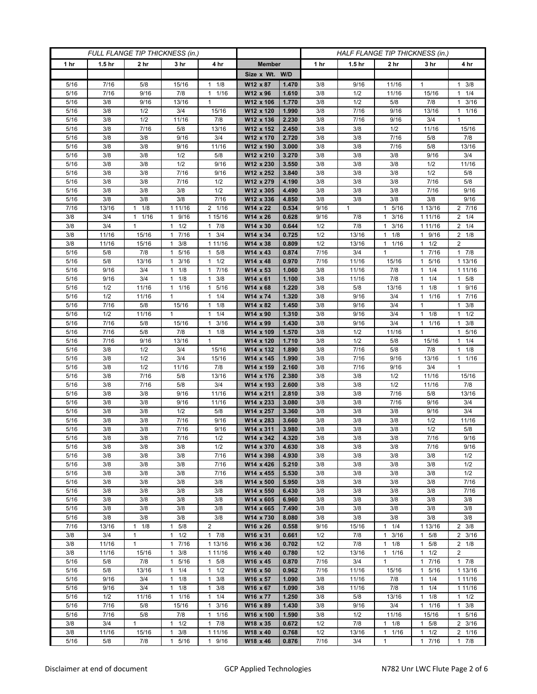| FULL FLANGE TIP THICKNESS (in.) |                   |                 |                               |                                 |                        | HALF FLANGE TIP THICKNESS (in.) |            |                   |                      |                                  |                        |  |
|---------------------------------|-------------------|-----------------|-------------------------------|---------------------------------|------------------------|---------------------------------|------------|-------------------|----------------------|----------------------------------|------------------------|--|
| 1 hr                            | 1.5 <sub>hr</sub> | 2 <sub>hr</sub> | 3 <sub>hr</sub>               | 4 hr                            | <b>Member</b>          |                                 | 1 hr       | 1.5 <sub>hr</sub> | 2 <sub>hr</sub>      | 3 hr                             | 4 hr                   |  |
|                                 |                   |                 |                               |                                 | Size x Wt. W/D         |                                 |            |                   |                      |                                  |                        |  |
| 5/16                            | 7/16              | 5/8             | 15/16                         | 1/8<br>1                        | W12 x 87               | 1.470                           | 3/8        | 9/16              | 11/16                | 1                                | $1 \t3/8$              |  |
| 5/16                            | 7/16              | 9/16            | 7/8                           | 1/16<br>$\mathbf{1}$            | W12 x 96               | 1.610                           | 3/8        | 1/2               | 11/16                | 15/16                            | $1 \t1/4$              |  |
| 5/16                            | 3/8               | 9/16            | 13/16                         | $\mathbf{1}$                    | W12 x 106              | 1.770                           | 3/8        | 1/2               | 5/8                  | 7/8                              | $1 \t3/16$             |  |
| 5/16                            | 3/8               | 1/2             | 3/4                           | 15/16                           | W12 x 120              | 1.990                           | 3/8        | 7/16              | 9/16                 | 13/16                            | $1 \t1/16$             |  |
| 5/16                            | 3/8               | 1/2             | 11/16                         | 7/8                             | W12 x 136              | 2.230                           | 3/8        | 7/16              | 9/16                 | 3/4                              | $\mathbf{1}$           |  |
| 5/16                            | 3/8               | 7/16            | 5/8                           | 13/16                           | W12 x 152              | 2.450                           | 3/8        | 3/8               | 1/2                  | 11/16                            | 15/16                  |  |
| 5/16                            | 3/8               | 3/8             | 9/16                          | 3/4                             | W12 x 170              | 2.720                           | 3/8        | 3/8               | 7/16                 | 5/8                              | 7/8                    |  |
| 5/16<br>5/16                    | 3/8<br>3/8        | 3/8<br>3/8      | 9/16<br>1/2                   | 11/16                           | W12 x 190<br>W12 x 210 | 3.000<br>3.270                  | 3/8<br>3/8 | 3/8               | 7/16<br>3/8          | 5/8<br>9/16                      | 13/16<br>3/4           |  |
| 5/16                            | 3/8               | 3/8             | 1/2                           | 5/8<br>9/16                     | W12 x 230              | 3.550                           | 3/8        | 3/8<br>3/8        | 3/8                  | 1/2                              | 11/16                  |  |
| 5/16                            | 3/8               | 3/8             | 7/16                          | 9/16                            | W12 x 252              | 3.840                           | 3/8        | 3/8               | 3/8                  | 1/2                              | 5/8                    |  |
| 5/16                            | 3/8               | 3/8             | 7/16                          | 1/2                             | W12 x 279              | 4.190                           | 3/8        | 3/8               | 3/8                  | 7/16                             | $5/8$                  |  |
| 5/16                            | 3/8               | 3/8             | 3/8                           | 1/2                             | W12 x 305              | 4.490                           | 3/8        | 3/8               | 3/8                  | 7/16                             | 9/16                   |  |
| 5/16                            | 3/8               | 3/8             | 3/8                           | 7/16                            | W12 x 336              | 4.850                           | 3/8        | 3/8               | 3/8                  | 3/8                              | 9/16                   |  |
| 7/16                            | 13/16             | 1/8<br>1        | 1 11/16                       | 2 1/16                          | W14 x 22               | 0.534                           | 9/16       | $\mathbf{1}$      | 5/16<br>$\mathbf{1}$ | 1 13/16                          | 2 7/16                 |  |
| 3/8                             | 3/4               | 1/16<br>1       | 9/16<br>$\mathbf{1}$          | 1 15/16                         | W14 x 26               | 0.628                           | 9/16       | 7/8               | 3/16<br>$\mathbf{1}$ | 1 1 1 / 16                       | $2 \t1/4$              |  |
| 3/8                             | 3/4               | $\mathbf{1}$    | 1/2<br>$\mathbf{1}$           | 7/8<br>1                        | W14 x 30               | 0.644                           | 1/2        | 7/8               | 3/16<br>$\mathbf{1}$ | 1 1 1 / 1 6                      | $2 \t1/4$              |  |
| 3/8                             | 11/16             | 15/16           | 17/16                         | $\mathbf{1}$<br>3/4             | W14 x 34               | 0.725                           | 1/2        | 13/16             | 1/8<br>1             | 1 9/16                           | $2 \t1/8$              |  |
| 3/8                             | 11/16             | 15/16           | 3/8<br>$\mathbf{1}$           | 1 11/16                         | W14 x 38               | 0.809                           | 1/2        | 13/16             | 1/16<br>1            | $1 \t1/2$                        | 2                      |  |
| 5/16                            | 5/8               | 7/8             | 5/16<br>1                     | 5/8<br>$\mathbf{1}$             | W14 x 43               | 0.874                           | 7/16       | 3/4               | $\mathbf{1}$         | 7/16<br>1                        | 17/8                   |  |
| 5/16                            | 5/8               | 13/16           | $1 \t3/16$                    | 1/2<br>$\mathbf{1}$             | W14 x 48               | 0.970                           | 7/16       | 11/16             | 15/16                | 5/16<br>1                        | 1 13/16                |  |
| 5/16                            | 9/16              | 3/4             | $1 \t1/8$                     | 7/16<br>1                       | W14 x 53               | 1.060                           | 3/8        | 11/16             | 7/8                  | $1 \t1/4$                        | 1 11/16                |  |
| 5/16                            | 9/16              | 3/4             | 1/8<br>1                      | 3/8<br>$\mathbf{1}$             | W14 x 61               | 1.100                           | 3/8        | 11/16             | 7/8                  | 1/4                              | $1 \t5/8$              |  |
| 5/16                            | 1/2               | 11/16           | 1 1/16                        | 5/16<br>$\mathbf{1}$            | $W14 \times 68$        | 1.220                           | 3/8        | 5/8               | 13/16                | 1/8<br>1                         | 1 9/16                 |  |
| 5/16                            | 1/2               | 11/16           | 1                             | 1/4<br>1                        | W14 x 74               | 1.320                           | 3/8        | 9/16              | 3/4                  | 1 1/16<br>1                      | 17/16                  |  |
| 5/16<br>5/16                    | 7/16<br>1/2       | 5/8<br>11/16    | 15/16<br>$\mathbf{1}$         | 1/8<br>1<br>1/4<br>$\mathbf{1}$ | W14 x 82<br>W14 x 90   | 1.450<br>1.310                  | 3/8<br>3/8 | 9/16<br>9/16      | 3/4<br>3/4           | 1/8<br>$\mathbf{1}$              | $1 \t3/8$<br>$1 \t1/2$ |  |
| 5/16                            | 7/16              | 5/8             | 15/16                         | 3/16<br>$\mathbf{1}$            | W14 x 99               | 1.430                           | 3/8        | 9/16              | 3/4                  | 1 1/16                           | $1 \t3/8$              |  |
| 5/16                            | 7/16              | 5/8             | 7/8                           | 1/8<br>$\mathbf{1}$             | W14 x 109              | 1.570                           | 3/8        | 1/2               | 11/16                | 1                                | 5/16<br>1              |  |
| 5/16                            | 7/16              | 9/16            | 13/16                         | $\mathbf{1}$                    | W14 x 120              | 1.710                           | 3/8        | 1/2               | 5/8                  | 15/16                            | $1 \t1/4$              |  |
| 5/16                            | 3/8               | 1/2             | 3/4                           | 15/16                           | W14 x 132              | 1.890                           | 3/8        | 7/16              | 5/8                  | 7/8                              | $1 \t1/8$              |  |
| 5/16                            | 3/8               | 1/2             | 3/4                           | 15/16                           | W14 x 145              | 1.990                           | 3/8        | 7/16              | 9/16                 | 13/16                            | $1 \t1/16$             |  |
| 5/16                            | 3/8               | 1/2             | 11/16                         | 7/8                             | W14 x 159              | 2.160                           | 3/8        | 7/16              | 9/16                 | 3/4                              | $\mathbf{1}$           |  |
| 5/16                            | 3/8               | 7/16            | 5/8                           | 13/16                           | W14 x 176              | 2.380                           | 3/8        | 3/8               | 1/2                  | 11/16                            | 15/16                  |  |
| $5/16$                          | 3/8               | 7/16            | 5/8                           | 3/4                             | W14 x 193              | 2.600                           | 3/8        | 3/8               | 1/2                  | 11/16                            | 7/8                    |  |
| 5/16                            | 3/8               | 3/8             | 9/16                          | 11/16                           | W14 x 211              | 2.810                           | 3/8        | 3/8               | 7/16                 | 5/8                              | 13/16                  |  |
| 5/16                            | 3/8               | 3/8             | 9/16                          | 11/16                           | W14 x 233              | 3.080                           | 3/8        | 3/8               | 7/16                 | 9/16                             | 3/4                    |  |
| $5/16$                          | 3/8               | 3/8             | 1/2                           | 5/8                             | W14 x 257              | 3.360                           | 3/8        | 3/8               | 3/8                  | 9/16                             | 3/4                    |  |
| 5/16                            | 3/8               | 3/8             | 7/16                          | 9/16                            | W14 x 283              | 3.660                           | 3/8        | 3/8               | 3/8                  | 1/2                              | 11/16                  |  |
| 5/16                            | 3/8               | 3/8             | 7/16                          | 9/16                            | W14 x 311              | 3.980                           | 3/8        | 3/8               | 3/8                  | 1/2                              | 5/8                    |  |
| 5/16                            | 3/8<br>3/8        | 3/8<br>3/8      | 7/16<br>3/8                   | 1/2<br>1/2                      | W14 x 342              | 4.320<br>4.630                  | 3/8<br>3/8 | 3/8<br>3/8        | 3/8<br>3/8           | 7/16                             | 9/16<br>9/16           |  |
| 5/16<br>5/16                    | 3/8               | 3/8             | 3/8                           | 7/16                            | W14 x 370<br>W14 x 398 | 4.930                           | 3/8        | 3/8               | 3/8                  | 7/16<br>3/8                      | 1/2                    |  |
| 5/16                            | 3/8               | 3/8             | 3/8                           | 7/16                            | W14 x 426              | 5.210                           | 3/8        | 3/8               | 3/8                  | 3/8                              | 1/2                    |  |
| 5/16                            | 3/8               | 3/8             | 3/8                           | 7/16                            | W14 x 455              | 5.530                           | 3/8        | 3/8               | 3/8                  | 3/8                              | 1/2                    |  |
| 5/16                            | 3/8               | 3/8             | 3/8                           | 3/8                             | W14 x 500              | 5.950                           | 3/8        | 3/8               | 3/8                  | 3/8                              | 7/16                   |  |
| 5/16                            | 3/8               | 3/8             | 3/8                           | 3/8                             | W14 x 550              | 6.430                           | 3/8        | 3/8               | 3/8                  | 3/8                              | 7/16                   |  |
| 5/16                            | 3/8               | 3/8             | 3/8                           | 3/8                             | W14 x 605              | 6.960                           | 3/8        | 3/8               | 3/8                  | 3/8                              | 3/8                    |  |
| 5/16                            | 3/8               | 3/8             | 3/8                           | 3/8                             | W14 x 665              | 7.490                           | 3/8        | 3/8               | 3/8                  | 3/8                              | 3/8                    |  |
| 5/16                            | 3/8               | 3/8             | 3/8                           | 3/8                             | W14 x 730              | 8.080                           | 3/8        | 3/8               | 3/8                  | 3/8                              | 3/8                    |  |
| 7/16                            | 13/16             | 1<br>1/8        | 5/8<br>1                      | $\overline{2}$                  | W16 x 26               | 0.558                           | 9/16       | 15/16             | 1/4<br>$\mathbf{1}$  | 1 13/16                          | $2 \frac{3}{8}$        |  |
| 3/8                             | 3/4               | $\mathbf{1}$    | $1 \t1/2$                     | $\mathbf{1}$<br>7/8             | W16 x 31               | 0.661                           | 1/2        | 7/8               | 3/16<br>$\mathbf{1}$ | 5/8<br>$\mathbf{1}$              | $2 \frac{3}{16}$       |  |
| 3/8                             | 11/16             | $\mathbf{1}$    | 17/16                         | 1 13/16                         | W16 x 36               | 0.702                           | 1/2        | 7/8               | 1/8<br>$\mathbf{1}$  | $1 \t5/8$                        | $2 \t1/8$              |  |
| 3/8                             | 11/16             | 15/16           | 3/8<br>1                      | 1 1 1/16                        | W16 x 40               | 0.780                           | 1/2        | 13/16             | 1/16<br>1            | 1/2<br>1                         | $\overline{2}$         |  |
| 5/16                            | 5/8               | 7/8             | 5/16<br>1                     | 5/8<br>$\mathbf{1}$             | W16 x 45               | 0.870                           | 7/16       | 3/4               | $\mathbf{1}$         | 7/16<br>$\mathbf{1}$             | 17/8                   |  |
| 5/16                            | 5/8               | 13/16           | $1 \t1/4$                     | 1/2<br>$\mathbf{1}$             | W16 x 50               | 0.962                           | 7/16       | 11/16             | 15/16                | 5/16<br>1                        | 1 13/16                |  |
| 5/16                            | 9/16              | 3/4             | $1 \t1/8$                     | 3/8<br>1                        | W16 x 57               | 1.090                           | 3/8        | 11/16             | 7/8                  | $1 \t1/4$                        | 1 11/16                |  |
| 5/16<br>5/16                    | 9/16<br>1/2       | 3/4<br>11/16    | 1/8<br>$\mathbf{1}$<br>1 1/16 | 3/8<br>1<br>1/4<br>$\mathbf{1}$ | W16 x 67<br>W16 x 77   | 1.090<br>1.250                  | 3/8<br>3/8 | 11/16<br>5/8      | 7/8<br>13/16         | 1/4<br>$\mathbf{1}$<br>$1 \t1/8$ | 1 11/16<br>$1 \t1/2$   |  |
| 5/16                            | 7/16              | 5/8             | 15/16                         | 3/16<br>$\mathbf{1}$            | W16 x 89               | 1.430                           | 3/8        | 9/16              | 3/4                  | 1/16<br>1                        | $1 \t3/8$              |  |
| 5/16                            | 7/16              | 5/8             | 7/8                           | 1/16<br>$\mathbf{1}$            | W16 x 100              | 1.590                           | 3/8        | 1/2               | 11/16                | 15/16                            | 1 5/16                 |  |
| 3/8                             | 3/4               | $\mathbf{1}$    | 1/2<br>1                      | $\mathbf{1}$<br>7/8             | W18 x 35               | 0.672                           | 1/2        | 7/8               | $\mathbf{1}$<br>1/8  | 5/8<br>1                         | $2 \frac{3}{16}$       |  |
| 3/8                             | 11/16             | 15/16           | 3/8<br>1                      | 1 1 1/16                        | W18 x 40               | 0.768                           | 1/2        | 13/16             | 1/16<br>1            | 1/2<br>1                         | 2 1/16                 |  |
| 5/16                            | 5/8               | 7/8             | $\mathbf{1}$<br>5/16          | 9/16<br>$\mathbf{1}$            | W18 x 46               | 0.876                           | 7/16       | 3/4               | $\mathbf{1}$         | $\mathbf{1}$<br>7/16             | 17/8                   |  |
|                                 |                   |                 |                               |                                 |                        |                                 |            |                   |                      |                                  |                        |  |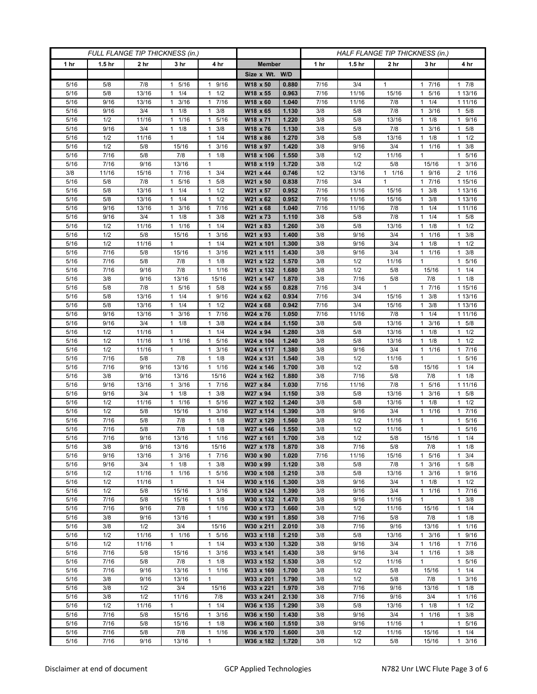| FULL FLANGE TIP THICKNESS (in.) |                   |                 |                          |                                             | HALF FLANGE TIP THICKNESS (in.) |                |             |                   |                 |                           |                                  |
|---------------------------------|-------------------|-----------------|--------------------------|---------------------------------------------|---------------------------------|----------------|-------------|-------------------|-----------------|---------------------------|----------------------------------|
| 1 hr                            | 1.5 <sub>hr</sub> | 2 <sub>hr</sub> | 3 <sub>hr</sub>          | 4 hr                                        | <b>Member</b>                   |                | 1 hr        | 1.5 <sub>hr</sub> | 2 <sub>hr</sub> | 3 hr                      | 4 hr                             |
|                                 |                   |                 |                          |                                             | Size x Wt. W/D                  |                |             |                   |                 |                           |                                  |
| 5/16                            | 5/8               | 7/8             | 5/16<br>1                | 9/16<br>1                                   | W18 x 50                        | 0.880          | 7/16        | 3/4               | $\mathbf{1}$    | 7/16<br>1                 | 17/8                             |
| 5/16                            | 5/8               | 13/16           | 1/4<br>$\mathbf{1}$      | 1/2<br>$\mathbf{1}$                         | W18 x 55                        | 0.963          | 7/16        | 11/16             | 15/16           | 5/16<br>1                 | 1 13/16                          |
| 5/16                            | 9/16              | 13/16           | 3/16<br>$\mathbf{1}$     | 7/16<br>$\mathbf{1}$                        | W18 x 60                        | 1.040          | 7/16        | 11/16             | 7/8             | 1/4<br>1                  | 1 11/16                          |
| 5/16                            | 9/16              | 3/4             | 1/8<br>1                 | 3/8<br>$\mathbf{1}$                         | W18 x 65                        | 1.130          | 3/8         | 5/8               | 7/8             | 3/16<br>1                 | $1 \t5/8$                        |
| 5/16                            | 1/2               | 11/16           | 1/16<br>1                | 5/16<br>$\mathbf{1}$                        | W18 x 71                        | 1.220          | 3/8         | 5/8               | 13/16           | 1/8<br>1                  | 1 9/16                           |
| 5/16                            | 9/16<br>1/2       | 3/4             | $\mathbf{1}$<br>1/8<br>1 | 3/8<br>$\mathbf{1}$<br>1/4<br>1             | W18 x 76<br>W18 x 86            | 1.130<br>1.270 | 3/8<br>3/8  | 5/8<br>5/8        | 7/8<br>13/16    | 3/16<br>1/8               | 5/8<br>$\mathbf{1}$<br>$1 \t1/2$ |
| 5/16<br>5/16                    | 1/2               | 11/16<br>5/8    | 15/16                    | 3/16<br>1                                   | W18 x 97                        | 1.420          | 3/8         | 9/16              | 3/4             | 1<br>1/16<br>1            | 3/8<br>1                         |
| 5/16                            | 7/16              | 5/8             | 7/8                      | $\mathbf{1}$<br>1/8                         | W18 x 106                       | 1.550          | 3/8         | 1/2               | 11/16           | 1                         | 5/16<br>$\mathbf{1}$             |
| 5/16                            | 7/16              | 9/16            | 13/16                    | $\mathbf{1}$                                | W18 x 119                       | 1.720          | 3/8         | 1/2               | 5/8             | 15/16                     | $1 \t3/16$                       |
| 3/8                             | 11/16             | 15/16           | 7/16<br>1                | $\mathbf{1}$<br>3/4                         | W21 x 44                        | 0.746          | 1/2         | 13/16             | $1 \t1/16$      | 1 9/16                    | 2 1/16                           |
| 5/16                            | 5/8               | 7/8             | 5/16<br>1                | 5/8<br>1                                    | W21 x 50                        | 0.838          | 7/16        | 3/4               | $\mathbf{1}$    | 7/16                      | 1 15/16                          |
| 5/16                            | 5/8               | 13/16           | 1/4<br>1                 | 1/2<br>$\mathbf{1}$                         | W21 x 57                        | 0.952          | 7/16        | 11/16             | 15/16           | 3/8<br>1                  | 1 13/16                          |
| 5/16                            | 5/8               | 13/16           | $1 \t1/4$                | 1/2<br>1                                    | W21 x 62                        | 0.952          | 7/16        | 11/16             | 15/16           | 3/8<br>1                  | 1 13/16                          |
| 5/16                            | 9/16              | 13/16           | 3/16<br>1                | 7/16<br>$\mathbf{1}$                        | W21 x 68                        | 1.040          | 7/16        | 11/16             | 7/8             | 1/4                       | 1 11/16                          |
| 5/16                            | 9/16              | 3/4             | 1/8<br>$\mathbf{1}$      | 3/8<br>$\mathbf{1}$                         | W21 x 73                        | 1.110          | 3/8         | 5/8               | 7/8             | 1/4<br>1                  | $1 \t5/8$                        |
| 5/16                            | 1/2               | 11/16           | 1/16<br>$\mathbf{1}$     | 1/4<br>$\mathbf{1}$                         | W21 x 83                        | 1.260          | 3/8         | 5/8               | 13/16           | 1/8<br>1                  | $1 \t1/2$                        |
| 5/16                            | 1/2               | 5/8             | 15/16                    | 3/16<br>1                                   | W21 x 93                        | 1.400          | 3/8         | 9/16              | 3/4             | 1 1/16                    | $1 \t3/8$                        |
| 5/16<br>5/16                    | 1/2<br>7/16       | 11/16<br>5/8    | 1<br>15/16               | 1/4<br>1<br>3/16<br>$\mathbf{1}$            | W21 x 101<br>W21 x 111          | 1.300<br>1.430 | 3/8<br>3/8  | 9/16<br>9/16      | 3/4<br>3/4      | 1/8<br>1<br>1/16<br>1     | $1 \t1/2$<br>3/8<br>$\mathbf{1}$ |
| 5/16                            | 7/16              | $5/8$           | 7/8                      | 1/8<br>$\mathbf{1}$                         | W21 x 122                       | 1.570          | 3/8         | 1/2               | 11/16           | 1                         | 1 5/16                           |
| 5/16                            | 7/16              | 9/16            | 7/8                      | 1/16<br>$\mathbf{1}$                        | W21 x 132                       | 1.680          | 3/8         | 1/2               | 5/8             | 15/16                     | $1 \t1/4$                        |
| 5/16                            | 3/8               | 9/16            | 13/16                    | 15/16                                       | W21 x 147                       | 1.870          | 3/8         | 7/16              | 5/8             | 7/8                       | $1 \t1/8$                        |
| 5/16                            | 5/8               | 7/8             | $\mathbf{1}$<br>5/16     | 5/8<br>$\mathbf{1}$                         | $W24 \times 55$                 | 0.828          | 7/16        | 3/4               | $\mathbf{1}$    | 7/16<br>$\mathbf{1}$      | 1 15/16                          |
| 5/16                            | 5/8               | 13/16           | $1 \t1/4$                | 9/16<br>1                                   | W24 x 62                        | 0.934          | 7/16        | 3/4               | 15/16           | $1 \t3/8$                 | 1 13/16                          |
| 5/16                            | 5/8               | 13/16           | 1/4<br>1                 | 1/2<br>1                                    | W24 x 68                        | 0.942          | 7/16        | 3/4               | 15/16           | 3/8<br>1                  | 1 13/16                          |
| 5/16                            | 9/16              | 13/16           | 3/16<br>$\mathbf{1}$     | 7/16<br>$\mathbf{1}$                        | W24 x 76                        | 1.050          | 7/16        | 11/16             | 7/8             | 1/4<br>1                  | 1 11/16                          |
| 5/16                            | 9/16              | 3/4             | $1 \t1/8$                | 3/8<br>$\mathbf{1}$                         | W24 x 84                        | 1.150          | 3/8         | 5/8               | 13/16           | 3/16<br>1                 | 1 5/8                            |
| 5/16                            | 1/2               | 11/16           | $\mathbf{1}$             | 1/4<br>$\mathbf{1}$                         | W24 x 94                        | 1.280          | 3/8         | 5/8               | 13/16           | 1/8<br>1                  | $1 \t1/2$                        |
| 5/16                            | 1/2               | 11/16           | 1 1/16                   | 5/16<br>$\mathbf{1}$                        | W24 x 104                       | 1.240          | 3/8         | 5/8               | 13/16           | 1/8<br>1                  | $1 \t1/2$                        |
| 5/16                            | 1/2               | 11/16<br>5/8    | $\mathbf{1}$             | 3/16<br>$\mathbf{1}$<br>1/8<br>$\mathbf{1}$ | W24 x 117                       | 1.380<br>1.540 | 3/8<br>3/8  | 9/16<br>1/2       | 3/4<br>11/16    | 11/16<br>1                | 1 7/16                           |
| 5/16<br>5/16                    | 7/16<br>7/16      | 9/16            | 7/8<br>13/16             | 1/16<br>1                                   | W24 x 131<br>W24 x 146          | 1.700          | 3/8         | 1/2               | 5/8             | 15/16                     | 1 5/16<br>$1 \t1/4$              |
| 5/16                            | 3/8               | 9/16            | 13/16                    | 15/16                                       | W24 x 162                       | 1.880          | 3/8         | 7/16              | 5/8             | 7/8                       | $1 \t1/8$                        |
| 5/16                            | 9/16              | 13/16           | 3/16<br>1                | 7/16<br>1                                   | W27 x 84                        | 1.030          | 7/16        | 11/16             | 7/8             | 5/16<br>1                 | 1 11/16                          |
| 5/16                            | 9/16              | 3/4             | 1/8<br>$\mathbf{1}$      | 3/8<br>$\mathbf{1}$                         | W27 x 94                        | 1.150          | 3/8         | 5/8               | 13/16           | 3/16<br>1                 | 1 5/8                            |
| 5/16                            | 1/2               | 11/16           | 1 1/16                   | $\mathbf{1}$<br>5/16                        | W27 x 102                       | 1.240          | 3/8         | 5/8               | 13/16           | 1/8                       | $1 \t1/2$                        |
| 5/16                            | 1/2               | 5/8             | 15/16                    | 3/16<br>$\mathbf{1}$                        | W27 x 114                       | 1.390          | 3/8         | 9/16              | 3/4             | 1/16<br>1                 | 7/16<br>1                        |
| 5/16                            | 7/16              | 5/8             | 7/8                      | 1/8<br>$\mathbf{1}$                         | W27 x 129                       | 1.560          | 3/8         | 1/2               | 11/16           | 1                         | 1 5/16                           |
| 5/16                            | 7/16              | 5/8             | 7/8                      | 1/8<br>$\mathbf{1}$                         | W27 x 146                       | 1.550          | 3/8         | 1/2               | 11/16           | 1                         | 5/16<br>$\mathbf{1}$             |
| 5/16                            | $7/16$            | 9/16            | 13/16                    | 1/16<br>$\mathbf{1}$                        | W27 x 161                       | 1.700          | 3/8         | 1/2               | 5/8             | 15/16                     | $1 \t1/4$                        |
| 5/16<br>5/16                    | 3/8<br>9/16       | 9/16<br>13/16   | 13/16<br>$1 \t3/16$      | 15/16<br>17/16                              | W27 x 178<br>W30 x 90           | 1.870<br>1.020 | 3/8<br>7/16 | 7/16<br>11/16     | 5/8<br>15/16    | 7/8<br>1 5/16             | $1 \t1/8$<br>$1 \t3/4$           |
| 5/16                            | 9/16              | 3/4             | $1 \t1/8$                | 3/8<br>$\mathbf{1}$                         | W30 x 99                        | 1.120          | 3/8         | 5/8               | 7/8             | 3/16<br>1                 | $1 \t5/8$                        |
| 5/16                            | 1/2               | 11/16           | 1/16<br>$\mathbf{1}$     | 5/16<br>$\mathbf{1}$                        | W30 x 108                       | 1.210          | 3/8         | 5/8               | 13/16           | 3/16                      | 1 9/16                           |
| 5/16                            | 1/2               | 11/16           | $\mathbf{1}$             | 1/4<br>$\mathbf{1}$                         | W30 x 116                       | 1.300          | 3/8         | 9/16              | 3/4             | 1/8<br>1                  | $1 \t1/2$                        |
| 5/16                            | 1/2               | 5/8             | 15/16                    | 3/16<br>$\mathbf{1}$                        | W30 x 124                       | 1.390          | 3/8         | 9/16              | 3/4             | 1 1/16                    | 17/16                            |
| 5/16                            | 7/16              | 5/8             | 15/16                    | 1/8<br>1                                    | W30 x 132                       | 1.470          | 3/8         | 9/16              | 11/16           | 1                         | $1 \t3/8$                        |
| 5/16                            | 7/16              | 9/16            | 7/8                      | $1 \t1/16$                                  | W30 x 173                       | 1.660          | 3/8         | 1/2               | 11/16           | 15/16                     | $1 \t1/4$                        |
| 5/16                            | 3/8               | 9/16            | 13/16                    | $\mathbf{1}$                                | W30 x 191                       | 1.850          | 3/8         | 7/16              | 5/8             | 7/8                       | $1 \t1/8$                        |
| 5/16                            | 3/8               | 1/2             | 3/4                      | 15/16                                       | W30 x 211                       | 2.010          | 3/8         | 7/16              | 9/16            | 13/16                     | $1 \t1/16$                       |
| 5/16                            | 1/2               | 11/16           | 11/16                    | 1 5/16                                      | W33 x 118                       | 1.210          | 3/8         | 5/8               | 13/16           | $1 \t3/16$                | 1 9/16                           |
| 5/16                            | 1/2               | 11/16           | $\mathbf{1}$             | 1/4<br>$\mathbf{1}$                         | W33 x 130                       | 1.320          | 3/8         | 9/16              | 3/4             | 11/16                     | 17/16                            |
| 5/16<br>5/16                    | 7/16<br>7/16      | 5/8<br>5/8      | 15/16<br>7/8             | 3/16<br>1<br>1/8<br>$\mathbf{1}$            | W33 x 141<br>W33 x 152          | 1.430<br>1.530 | 3/8<br>3/8  | 9/16<br>1/2       | 3/4<br>11/16    | 1/16<br>1<br>$\mathbf{1}$ | $1 \t3/8$<br>1 5/16              |
| 5/16                            | 7/16              | 9/16            | 13/16                    | $\mathbf{1}$<br>1/16                        | W33 x 169                       | 1.700          | 3/8         | 1/2               | 5/8             | 15/16                     | 11/4                             |
| 5/16                            | 3/8               | 9/16            | 13/16                    | $\mathbf{1}$                                | W33 x 201                       | 1.790          | 3/8         | 1/2               | 5/8             | 7/8                       | $1 \t3/16$                       |
| 5/16                            | 3/8               | 1/2             | 3/4                      | 15/16                                       | W33 x 221                       | 1.970          | 3/8         | 7/16              | 9/16            | 13/16                     | $1 \t1/8$                        |
| 5/16                            | 3/8               | 1/2             | 11/16                    | 7/8                                         | W33 x 241                       | 2.130          | 3/8         | 7/16              | 9/16            | 3/4                       | 11/16                            |
| 5/16                            | 1/2               | 11/16           | $\mathbf{1}$             | $1 \t1/4$                                   | W36 x 135                       | 1.290          | 3/8         | 5/8               | 13/16           | $1 \t1/8$                 | $1 \t1/2$                        |
| 5/16                            | 7/16              | 5/8             | 15/16                    | 3/16<br>$\mathbf{1}$                        | W36 x 150                       | 1.430          | 3/8         | 9/16              | 3/4             | 1 1/16                    | $1 \t3/8$                        |
| 5/16                            | 7/16              | 5/8             | 15/16                    | 1/8<br>$\mathbf{1}$                         | W36 x 160                       | 1.510          | 3/8         | 9/16              | 11/16           | $\mathbf{1}$              | 1 5/16                           |
| 5/16                            | 7/16              | $5/8$           | 7/8                      | 1/16<br>1                                   | W36 x 170                       | 1.600          | 3/8         | 1/2               | 11/16           | 15/16                     | $1 \t1/4$                        |
| $5/16$                          | 7/16              | 9/16            | 13/16                    | $\mathbf{1}$                                | W36 x 182                       | 1.720          | 3/8         | 1/2               | 5/8             | 15/16                     | $1 \t3/16$                       |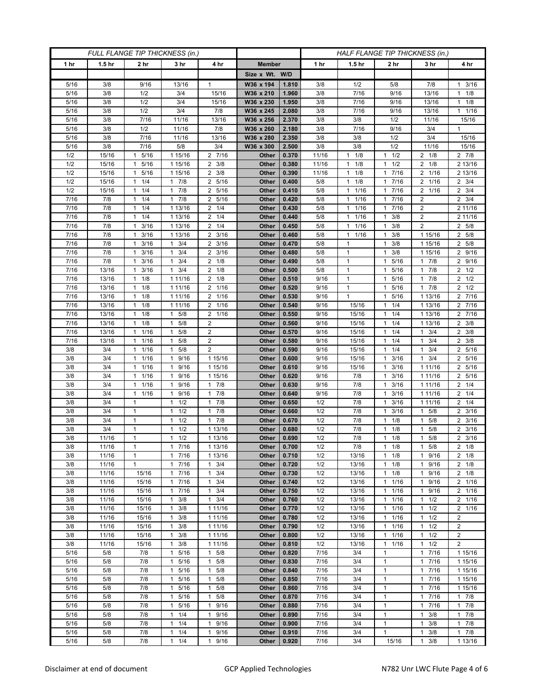| FULL FLANGE TIP THICKNESS (in.) |                   |                                  |                                            |                                            |                |                |              |                                  | HALF FLANGE TIP THICKNESS (in.)              |                                  |                            |  |
|---------------------------------|-------------------|----------------------------------|--------------------------------------------|--------------------------------------------|----------------|----------------|--------------|----------------------------------|----------------------------------------------|----------------------------------|----------------------------|--|
| 1 hr                            | 1.5 <sub>hr</sub> | 2 <sub>hr</sub>                  | 3 <sub>hr</sub>                            | 4 hr                                       | <b>Member</b>  |                | 1 hr         | 1.5 <sub>hr</sub>                | 2 <sub>hr</sub>                              | 3 hr                             | 4 hr                       |  |
|                                 |                   |                                  |                                            |                                            | Size x Wt. W/D |                |              |                                  |                                              |                                  |                            |  |
| 5/16                            | 3/8               | 9/16                             | 13/16                                      | $\mathbf{1}$                               | W36 x 194      | 1.810          | 3/8          | 1/2                              | 5/8                                          | 7/8                              | 3/16<br>$\mathbf{1}$       |  |
| 5/16                            | 3/8               | 1/2                              | 3/4                                        | 15/16                                      | W36 x 210      | 1.960          | 3/8          | 7/16                             | 9/16                                         | 13/16                            | $1 \t1/8$                  |  |
| 5/16                            | 3/8               | 1/2                              | 3/4                                        | 15/16                                      | W36 x 230      | 1.950          | 3/8          | 7/16                             | 9/16                                         | 13/16                            | $1 \t1/8$                  |  |
| 5/16                            | 3/8               | 1/2                              | 3/4                                        | 7/8                                        | W36 x 245      | 2.080          | 3/8          | 7/16                             | 9/16                                         | 13/16                            | $1 \t1/16$                 |  |
| 5/16                            | 3/8               | 7/16                             | 11/16                                      | 13/16                                      | W36 x 256      | 2.370          | 3/8          | 3/8                              | 1/2                                          | 11/16                            | 15/16                      |  |
| 5/16                            | 3/8               | 1/2                              | 11/16                                      | 7/8                                        | W36 x 260      | 2.180          | 3/8          | 7/16                             | 9/16                                         | 3/4                              | $\mathbf{1}$               |  |
| 5/16                            | 3/8               | 7/16                             | 11/16                                      | 13/16                                      | W36 x 280      | 2.350          | 3/8          | 3/8                              | 1/2                                          | 3/4                              | 15/16                      |  |
| 5/16                            | 3/8               | 7/16                             | 5/8                                        | 3/4                                        | W36 x 300      | 2.500          | 3/8          | 3/8                              | 1/2                                          | 11/16                            | 15/16                      |  |
| 1/2                             | 15/16             | 5/16<br>1                        | 1 15/16                                    | 2 7/16                                     | Other          | 0.370          | 11/16        | $1 \t1/8$                        | 1/2<br>$\mathbf{1}$                          | $2 \t1/8$                        | $2 \t 7/8$                 |  |
| 1/2                             | 15/16             | 5/16<br>$\mathbf{1}$             | 1 15/16                                    | $2 \frac{3}{8}$                            | Other          | 0.380          | 11/16        | 1/8<br>1                         | 1/2<br>$\mathbf{1}$                          | $2 \t1/8$                        | 2 13/16                    |  |
| 1/2<br>1/2                      | 15/16<br>15/16    | 5/16<br>$\mathbf{1}$<br>1/4<br>1 | 1 15/16<br>$1 \t7/8$                       | 3/8<br>$\overline{2}$<br>5/16<br>2         | Other<br>Other | 0.390<br>0.400 | 11/16<br>5/8 | $1 \t1/8$<br>1/8<br>$\mathbf{1}$ | 7/16<br>$\mathbf{1}$<br>7/16<br>$\mathbf{1}$ | 2 1/16<br>$\overline{2}$<br>1/16 | 2 13/16<br>$2 \frac{3}{4}$ |  |
| 1/2                             | 15/16             | 1/4<br>1                         | 7/8<br>1                                   | 5/16<br>$\overline{2}$                     | Other          | 0.410          | 5/8          | 1/16<br>1                        | 7/16<br>1                                    | 2 1/16                           | $2 \frac{3}{4}$            |  |
| 7/16                            | 7/8               | $1 \t1/4$                        | $1 \t7/8$                                  | 5/16<br>2                                  | Other          | 0.420          | 5/8          | 11/16                            | 7/16<br>1                                    | 2                                | $2 \frac{3}{4}$            |  |
| 7/16                            | 7/8               | 1/4<br>1                         | 1 13/16                                    | 1/4<br>2                                   | Other          | 0.430          | 5/8          | 1/16<br>$\mathbf{1}$             | 7/16<br>$\mathbf{1}$                         | 2                                | 2 11/16                    |  |
| $\frac{1}{7}{16}$               | 7/8               | 1/4<br>1                         | 1 13/16                                    | $\overline{2}$<br>1/4                      | Other          | 0.440          | 5/8          | 1/16<br>$\mathbf{1}$             | 3/8<br>$\mathbf{1}$                          | $\overline{2}$                   | 2 11/16                    |  |
| 7/16                            | 7/8               | 3/16<br>1                        | 1 13/16                                    | 1/4<br>2                                   | Other          | 0.450          | 5/8          | 1/16<br>$\mathbf{1}$             | 3/8<br>$\mathbf{1}$                          | $\overline{2}$                   | 2 5/8                      |  |
| 7/16                            | 7/8               | $1 \t3/16$                       | 1 13/16                                    | $2 \frac{3}{16}$                           | Other          | 0.460          | 5/8          | $1 \t1/16$                       | 3/8<br>$\mathbf{1}$                          | 1 15/16                          | 2 5/8                      |  |
| 7/16                            | 7/8               | 3/16<br>1                        | $1 \t3/4$                                  | $2 \frac{3}{16}$                           | Other          | 0.470          | 5/8          | 1                                | 3/8<br>1                                     | 1 15/16                          | 2 5/8                      |  |
| 7/16                            | 7/8               | 3/16<br>1                        | 3/4<br>$\mathbf{1}$                        | 3/16<br>2                                  | Other          | 0.480          | 5/8          | $\mathbf{1}$                     | 3/8<br>$\mathbf{1}$                          | 1 15/16                          | 2 9/16                     |  |
| 7/16                            | 7/8               | 3/16<br>$\mathbf{1}$             | $1 \t3/4$                                  | $2 \t1/8$                                  | Other          | 0.490          | 5/8          | $\mathbf{1}$                     | 5/16<br>$\mathbf{1}$                         | $\overline{1}$ 7/8               | 2 9/16                     |  |
| 7/16                            | 13/16             | $1 \t3/16$                       | $1 \t3/4$                                  | $2 \t1/8$                                  | Other          | 0.500          | 5/8          | 1                                | 5/16<br>$\mathbf{1}$                         | $\overline{1}$ 7/8               | $2 \t1/2$                  |  |
| 7/16                            | 13/16             | 1/8<br>1                         | 1 11/16                                    | 2<br>1/8                                   | Other          | 0.510          | 9/16         | 1                                | 5/16<br>$\mathbf{1}$                         | 7/8<br>1                         | $2 \t1/2$                  |  |
| 7/16                            | 13/16             | 1/8<br>$\mathbf{1}$              | 1 11/16                                    | 2 1/16                                     | Other          | 0.520          | 9/16         | $\mathbf{1}$                     | 5/16<br>$\mathbf{1}$                         | 7/8<br>$\mathbf{1}$              | $2 \frac{1}{2}$            |  |
| 7/16                            | 13/16             | $1 \t1/8$                        | 1 11/16                                    | 2<br>1/16                                  | Other          | 0.530          | 9/16         | $\mathbf{1}$                     | 5/16<br>$\mathbf{1}$                         | 1 13/16                          | 2 7/16                     |  |
| 7/16                            | 13/16             | 1/8<br>1                         | 1 11/16                                    | 1/16<br>2                                  | Other          | 0.540          | 9/16         | 15/16                            | 1/4<br>$\mathbf{1}$                          | 1 13/16                          | 2 7/16                     |  |
| 7/16                            | 13/16             | 1/8<br>$\mathbf{1}$              | 5/8<br>$\mathbf{1}$                        | $\overline{2}$<br>1/16                     | <b>Other</b>   | 0.550          | 9/16         | 15/16                            | 1/4<br>$\mathbf{1}$                          | 1 13/16                          | 2 7/16                     |  |
| 7/16                            | 13/16             | $1 \t1/8$                        | 5/8<br>$\mathbf{1}$                        | $\overline{2}$                             | Other          | 0.560          | 9/16         | 15/16                            | 1/4<br>$\mathbf{1}$                          | 1 13/16                          | $2 \frac{3}{8}$            |  |
| 7/16                            | 13/16             | 1/16<br>$\mathbf{1}$             | 5/8<br>1                                   | 2                                          | Other          | 0.570          | 9/16         | 15/16                            | 1/4<br>$\mathbf{1}$                          | 3/4<br>1                         | $2 \frac{3}{8}$            |  |
| 7/16<br>3/8                     | 13/16<br>3/4      | 1/16<br>1<br>11/16               | 5/8<br>1<br>5/8<br>$\mathbf{1}$            | $\overline{2}$<br>$\overline{2}$           | Other<br>Other | 0.580<br>0.590 | 9/16<br>9/16 | 15/16<br>15/16                   | 1/4<br>$\mathbf{1}$<br>1/4<br>$\mathbf{1}$   | 3/4<br>1<br>3/4<br>1.            | $2 \frac{3}{8}$<br>2 5/16  |  |
| 3/8                             | 3/4               | 1/16<br>$\mathbf{1}$             | 9/16<br>1                                  | 1 15/16                                    | Other          | 0.600          | 9/16         | 15/16                            | 3/16<br>1                                    | 3/4<br>1                         | 2 5/16                     |  |
| 3/8                             | 3/4               | 1/16<br>1                        | 9/16<br>$\mathbf{1}$                       | 1 15/16                                    | Other          | 0.610          | 9/16         | 15/16                            | 3/16<br>$\mathbf{1}$                         | 1 1 1 / 16                       | 2 5/16                     |  |
| 3/8                             | 3/4               | 1/16<br>1                        | $\mathbf{1}$<br>9/16                       | 1 15/16                                    | Other          | 0.620          | 9/16         | 7/8                              | 3/16<br>$\mathbf{1}$                         | 1 11/16                          | 2 5/16                     |  |
| 3/8                             | 3/4               | 1/16<br>1                        | 9/16<br>1                                  | 7/8<br>$\mathbf{1}$                        | Other          | 0.630          | 9/16         | 7/8                              | 3/16<br>$\mathbf{1}$                         | 1 1 1 / 1 6                      | $2 \t1/4$                  |  |
| 3/8                             | 3/4               | 1/16<br>1                        | 9/16<br>1                                  | 7/8<br>$\mathbf{1}$                        | Other          | 0.640          | 9/16         | 7/8                              | 3/16<br>$\mathbf{1}$                         | 1 1 1 / 1 6                      | $2 \t1/4$                  |  |
| 3/8                             | 3/4               | 1                                | 1/2<br>$\mathbf{1}$                        | 7/8<br>1                                   | Other          | 0.650          | 1/2          | 7/8                              | 3/16<br>$\mathbf{1}$                         | 1 11/16                          | $2 \t1/4$                  |  |
| 3/8                             | 3/4               | 1                                | 1/2<br>1                                   | 7/8<br>$\mathbf{1}$                        | Other          | 0.660          | 1/2          | 7/8                              | 3/16<br>$\mathbf{1}$                         | 5/8<br>1                         | $2 \frac{3}{16}$           |  |
| 3/8                             | 3/4               | $\mathbf{1}$                     | 1/2<br>$\mathbf{1}$                        | 7/8<br>1                                   | Other          | 0.670          | 1/2          | 7/8                              | 1/8<br>$\mathbf{1}$                          | 5/8<br>1                         | $2 \frac{3}{16}$           |  |
| 3/8                             | 3/4               | 1                                | 1/2<br>$\mathbf{1}$                        | 1 13/16                                    | Other          | 0.680          | 1/2          | 7/8                              | 1/8<br>$\mathbf{1}$                          | 5/8                              | $2 \frac{3}{16}$           |  |
| 3/8                             | 11/16             | $\mathbf{1}$                     | 1/2<br>$\mathbf{1}$                        | 1 13/16                                    | Other          | 0.690          | 1/2          | 7/8                              | 1/8<br>$\mathbf{1}$                          | 5/8<br>1                         | $2 \frac{3}{16}$           |  |
| 3/8                             | 11/16             | $\mathbf{1}$                     | 17/16                                      | 1 13/16                                    | Other          | 0.700          | 1/2          | 7/8                              | 1/8<br>$\mathbf{1}$                          | 5/8<br>$\mathbf{1}$              | $2 \t1/8$                  |  |
| 3/8                             | 11/16             | 1                                | 17/16                                      | 1 13/16                                    | Other          | 0.710          | 1/2          | 13/16                            | 1/8<br>$\mathbf{1}$                          | 9/16<br>$\mathbf{1}$             | $2 \t1/8$                  |  |
| 3/8                             | 11/16             | 1                                | 17/16                                      | 3/4<br>$\mathbf{1}$                        | Other          | 0.720          | 1/2          | 13/16                            | 1/8<br>1                                     | 9/16<br>$\mathbf{1}$             | $2 \t1/8$                  |  |
| 3/8                             | 11/16             | 15/16                            | 7/16<br>$\mathbf{1}$                       | 3/4<br>$\mathbf{1}$                        | Other          | 0.730          | 1/2          | 13/16                            | 1/8<br>$\mathbf{1}$                          | 9/16<br>1                        | $2 \t1/8$                  |  |
| 3/8<br>3/8                      | 11/16<br>11/16    | 15/16<br>15/16                   | 17/16<br>17/16                             | $\mathbf{1}$<br>3/4<br>3/4<br>$\mathbf{1}$ | Other<br>Other | 0.740<br>0.750 | 1/2<br>1/2   | 13/16<br>13/16                   | 1/16<br>$\mathbf{1}$<br>1/16<br>1            | 9/16<br>1<br>1 9/16              | 2 1/16<br>2 1/16           |  |
| 3/8                             | 11/16             | 15/16                            | 3/8<br>1                                   | 3/4<br>$\mathbf{1}$                        | Other          | 0.760          | 1/2          | 13/16                            | 1/16<br>$\mathbf{1}$                         | 1/2<br>1                         | 2 1/16                     |  |
| 3/8                             | 11/16             | 15/16                            | $1 \t3/8$                                  | 1 1 1 / 16                                 | Other          | 0.770          | 1/2          | 13/16                            | 1/16<br>$\mathbf{1}$                         | 1/2<br>$\mathbf{1}$              | 2 1/16                     |  |
| 3/8                             | 11/16             | 15/16                            | $1 \t3/8$                                  | 1 1 1/16                                   | Other          | 0.780          | 1/2          | 13/16                            | 1/16<br>$\mathbf{1}$                         | $1 \t1/2$                        | 2                          |  |
| 3/8                             | 11/16             | 15/16                            | 3/8<br>1                                   | 1 1 1/16                                   | Other          | 0.790          | 1/2          | 13/16                            | 1/16<br>$\mathbf{1}$                         | 1/2<br>1                         | $\overline{2}$             |  |
| 3/8                             | 11/16             | 15/16                            | 3/8<br>$\mathbf{1}$                        | 1 1 1 / 16                                 | Other          | 0.800          | 1/2          | 13/16                            | 1/16<br>$\mathbf{1}$                         | 1/2<br>$\mathbf{1}$              | $\overline{2}$             |  |
| 3/8                             | 11/16             | 15/16                            | 3/8<br>$\mathbf{1}$                        | 1 1 1 / 16                                 | Other          | 0.810          | 1/2          | 13/16                            | 1/16<br>$\mathbf{1}$                         | $1 \t1/2$                        | $\overline{2}$             |  |
| 5/16                            | 5/8               | 7/8                              | 5/16<br>1                                  | 5/8<br>$\mathbf{1}$                        | Other          | 0.820          | 7/16         | 3/4                              | $\mathbf{1}$                                 | 7/16<br>$\mathbf{1}$             | 1 15/16                    |  |
| 5/16                            | 5/8               | 7/8                              | 5/16<br>1                                  | $\mathbf{1}$<br>5/8                        | Other          | 0.830          | 7/16         | 3/4                              | $\mathbf{1}$                                 | 7/16<br>1                        | 1 15/16                    |  |
| 5/16                            | 5/8               | 7/8                              | $\mathbf{1}$<br>5/16                       | 5/8<br>$\mathbf{1}$                        | <b>Other</b>   | 0.840          | 7/16         | 3/4                              | $\mathbf{1}$                                 | 1 7/16                           | 1 15/16                    |  |
| 5/16                            | 5/8               | 7/8                              | 5/16<br>$\mathbf{1}$                       | 5/8<br>1                                   | Other          | 0.850          | 7/16         | 3/4                              | $\mathbf{1}$                                 | 1 7/16                           | 1 15/16                    |  |
| 5/16                            | 5/8               | 7/8                              | 5/16<br>1                                  | 5/8<br>1                                   | Other          | 0.860          | 7/16         | 3/4                              | $\mathbf{1}$                                 | 7/16<br>$\mathbf{1}$             | 1 15/16                    |  |
| 5/16                            | 5/8               | 7/8                              | $\mathbf{1}$<br>5/16                       | 5/8<br>$\mathbf{1}$                        | Other          | 0.870          | 7/16         | 3/4                              | $\mathbf{1}$                                 | 1 7/16                           | 17/8                       |  |
| 5/16                            | 5/8               | 7/8                              | 5/16<br>$\mathbf{1}$                       | 9/16<br>1                                  | Other          | 0.880          | 7/16         | 3/4                              | $\mathbf{1}$                                 | 7/16<br>1                        | 17/8                       |  |
| 5/16                            | 5/8               | 7/8                              | 1/4<br>$\mathbf{1}$                        | 9/16<br>$\mathbf{1}$                       | Other          | 0.890          | 7/16         | 3/4                              | $\mathbf{1}$                                 | 3/8<br>1                         | 17/8                       |  |
| 5/16                            | 5/8               | 7/8                              | $\mathbf{1}$<br>1/4                        | 9/16<br>$\mathbf{1}$                       | Other          | 0.900          | 7/16         | 3/4                              | $\mathbf{1}$                                 | 3/8<br>1                         | 17/8                       |  |
| 5/16<br>5/16                    | 5/8<br>5/8        | 7/8                              | 1/4<br>$\mathbf{1}$<br>$\mathbf{1}$<br>1/4 | 9/16<br>1<br>9/16<br>$\mathbf{1}$          | Other<br>Other | 0.910<br>0.920 | 7/16         | 3/4<br>3/4                       | $\mathbf{1}$                                 | 3/8<br>1<br>1                    | 17/8<br>1 13/16            |  |
|                                 |                   | 7/8                              |                                            |                                            |                |                | 7/16         |                                  | 15/16                                        | 3/8                              |                            |  |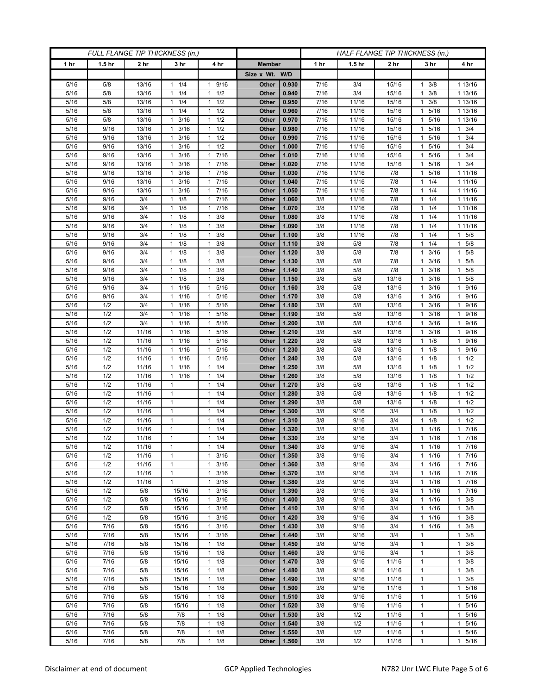| FULL FLANGE TIP THICKNESS (in.) |                   |                 |                                   | HALF FLANGE TIP THICKNESS (in.)              |                |                |              |                   |                 |                              |                                |
|---------------------------------|-------------------|-----------------|-----------------------------------|----------------------------------------------|----------------|----------------|--------------|-------------------|-----------------|------------------------------|--------------------------------|
| 1 hr                            | 1.5 <sub>hr</sub> | 2 <sub>hr</sub> | 3 <sub>hr</sub>                   | 4 hr                                         | <b>Member</b>  |                | 1 hr         | 1.5 <sub>hr</sub> | 2 <sub>hr</sub> | 3 hr                         | 4 hr                           |
|                                 |                   |                 |                                   |                                              | Size x Wt. W/D |                |              |                   |                 |                              |                                |
| 5/16                            | 5/8               | 13/16           | 1/4<br>1                          | 9/16<br>1                                    | Other          | 0.930          | 7/16         | 3/4               | 15/16           | 3/8                          | 1 13/16                        |
| 5/16                            | 5/8               | 13/16           | 1/4<br>$\mathbf{1}$               | 1/2<br>$\mathbf{1}$                          | Other          | 0.940          | 7/16         | 3/4               | 15/16           | 3/8<br>1                     | 1 13/16                        |
| 5/16                            | 5/8               | 13/16           | $1 \t1/4$                         | 1/2<br>1                                     | Other          | 0.950          | 7/16         | 11/16             | 15/16           | 3/8<br>1                     | 1 13/16                        |
| 5/16                            | 5/8               | 13/16           | 1/4<br>-1                         | 1/2<br>1                                     | Other          | 0.960          | 7/16         | 11/16             | 15/16           | 5/16<br>1                    | 1 13/16                        |
| 5/16                            | 5/8               | 13/16           | 3/16<br>$\mathbf{1}$              | $\mathbf{1}$<br>1/2                          | Other          | 0.970          | 7/16         | 11/16             | 15/16           | 5/16<br>1                    | 1 13/16                        |
| 5/16                            | 9/16              | 13/16           | $\mathbf{1}$<br>3/16              | 1/2<br>$\mathbf{1}$                          | Other          | 0.980          | 7/16         | 11/16             | 15/16           | 5/16<br>1                    | $1 \t3/4$                      |
| 5/16                            | 9/16              | 13/16           | 3/16<br>1                         | 1/2<br>1                                     | Other          | 0.990          | 7/16         | 11/16             | 15/16           | 5/16<br>1                    | $1 \t3/4$                      |
| 5/16                            | 9/16              | 13/16           | 3/16<br>1                         | 1/2<br>$\mathbf{1}$                          | Other          | 1.000          | 7/16         | 11/16             | 15/16           | 5/16<br>1                    | $1 \t3/4$                      |
| 5/16                            | 9/16              | 13/16           | 3/16<br>1                         | 7/16<br>$\mathbf{1}$                         | Other          | 1.010          | 7/16         | 11/16             | 15/16           | 5/16                         | 3/4<br>$\mathbf{1}$            |
| 5/16                            | 9/16              | 13/16           | 3/16<br>1                         | 7/16<br>$\mathbf{1}$                         | Other          | 1.020          | 7/16         | 11/16             | 15/16           | 5/16<br>1                    | $1 \t3/4$                      |
| 5/16<br>5/16                    | 9/16<br>9/16      | 13/16<br>13/16  | 3/16<br>$\mathbf{1}$<br>3/16<br>1 | 7/16<br>$\mathbf{1}$<br>7/16<br>$\mathbf{1}$ | Other<br>Other | 1.030<br>1.040 | 7/16<br>7/16 | 11/16<br>11/16    | 7/8<br>7/8      | 5/16<br>1<br>1/4             | 1 1 1 / 16<br>1 11/16          |
| 5/16                            | 9/16              | 13/16           | 3/16<br>1                         | 7/16<br>1                                    | Other          | 1.050          | 7/16         | 11/16             | 7/8             | 1/4<br>1                     | 1 11/16                        |
| 5/16                            | 9/16              | 3/4             | $\mathbf{1}$<br>1/8               | 7/16<br>$\mathbf{1}$                         | Other          | 1.060          | 3/8          | 11/16             | 7/8             | 1/4<br>1                     | 1 11/16                        |
| 5/16                            | 9/16              | 3/4             | 1/8<br>1                          | 7/16<br>$\mathbf{1}$                         | Other          | 1.070          | 3/8          | 11/16             | 7/8             | 1/4                          | 1 11/16                        |
| 5/16                            | 9/16              | 3/4             | 1/8<br>1                          | 3/8<br>$\mathbf{1}$                          | Other          | 1.080          | 3/8          | 11/16             | 7/8             | 1/4<br>1                     | 1 11/16                        |
| 5/16                            | 9/16              | 3/4             | 1/8<br>$\mathbf{1}$               | 3/8<br>1                                     | Other          | 1.090          | 3/8          | 11/16             | 7/8             | 1/4<br>1                     | 1 11/16                        |
| 5/16                            | 9/16              | 3/4             | $1 \t1/8$                         | 3/8<br>1                                     | Other          | 1.100          | 3/8          | 11/16             | 7/8             | $1 \t1/4$                    | $1 \t5/8$                      |
| 5/16                            | 9/16              | 3/4             | 1/8<br>$\mathbf{1}$               | 3/8<br>1                                     | Other          | 1.110          | 3/8          | 5/8               | 7/8             | 1/4<br>1.                    | $1 \t5/8$                      |
| 5/16                            | 9/16              | 3/4             | 1/8<br>1                          | 3/8<br>1                                     | Other          | 1.120          | 3/8          | 5/8               | 7/8             | 3/16<br>1                    | 5/8<br>$\mathbf{1}$            |
| 5/16                            | 9/16              | 3/4             | $1 \t1/8$                         | 3/8<br>$\mathbf{1}$                          | Other          | 1.130          | 3/8          | 5/8               | 7/8             | 3/16<br>1                    | $1 \t5/8$                      |
| 5/16                            | 9/16              | 3/4             | $1 \t1/8$                         | 3/8<br>1                                     | Other          | 1.140          | 3/8          | 5/8               | 7/8             | 3/16<br>1                    | $1 \t5/8$                      |
| 5/16                            | 9/16              | 3/4             | 1/8<br>1                          | 3/8<br>1                                     | Other          | 1.150          | 3/8          | 5/8               | 13/16           | 3/16                         | 5/8<br>1                       |
| 5/16                            | 9/16              | 3/4             | 1/16<br>$\mathbf{1}$              | 5/16<br>$\mathbf{1}$                         | Other          | 1.160          | 3/8          | 5/8               | 13/16           | 3/16<br>1                    | 1 9/16                         |
| 5/16                            | 9/16              | 3/4             | 1 1/16                            | 5/16<br>1                                    | Other          | 1.170          | 3/8          | 5/8               | 13/16           | 3/16<br>1.                   | 1 9/16                         |
| 5/16                            | 1/2               | 3/4             | 1/16<br>1                         | 5/16<br>1                                    | Other          | 1.180          | 3/8          | 5/8               | 13/16           | 3/16                         | 9/16<br>$\mathbf{1}$           |
| 5/16                            | 1/2               | 3/4             | 1/16<br>$\mathbf{1}$              | 5/16<br>$\mathbf{1}$                         | <b>Other</b>   | 1.190          | 3/8          | 5/8               | 13/16           | 3/16<br>1                    | 1 9/16                         |
| 5/16<br>5/16                    | 1/2<br>1/2        | 3/4<br>11/16    | 1 1/16<br>1/16<br>-1              | 5/16<br>1<br>5/16<br>$\mathbf{1}$            | Other<br>Other | 1.200<br>1.210 | 3/8<br>3/8   | 5/8<br>5/8        | 13/16<br>13/16  | 3/16<br>1.<br>3/16<br>1      | 1 9/16<br>9/16<br>$\mathbf{1}$ |
| 5/16                            | 1/2               | 11/16           | 1/16<br>1                         | 5/16<br>$\mathbf{1}$                         | Other          | 1.220          | 3/8          | 5/8               | 13/16           | 1/8<br>1                     | 1 9/16                         |
| 5/16                            | 1/2               | 11/16           | 1 1/16                            | 5/16<br>$\mathbf{1}$                         | Other          | 1.230          | 3/8          | 5/8               | 13/16           | 1/8<br>1.                    | 1 9/16                         |
| 5/16                            | 1/2               | 11/16           | 1/16<br>1                         | 5/16<br>$\mathbf{1}$                         | Other          | 1.240          | 3/8          | 5/8               | 13/16           | 1/8<br>1                     | $1 \t1/2$                      |
| 5/16                            | 1/2               | 11/16           | 1/16<br>$\mathbf{1}$              | 1/4<br>$\mathbf{1}$                          | Other          | 1.250          | 3/8          | 5/8               | 13/16           | 1/8<br>1                     | $1 \t1/2$                      |
| 5/16                            | 1/2               | 11/16           | 1/16<br>$\mathbf{1}$              | 1/4<br>$\mathbf{1}$                          | Other          | 1.260          | 3/8          | 5/8               | 13/16           | 1/8                          | $1 \t1/2$                      |
| 5/16                            | 1/2               | 11/16           | $\mathbf{1}$                      | 1/4<br>$\mathbf{1}$                          | Other          | 1.270          | 3/8          | 5/8               | 13/16           | 1/8<br>1                     | $1 \t1/2$                      |
| 5/16                            | 1/2               | 11/16           | 1                                 | 1/4<br>1                                     | Other          | 1.280          | 3/8          | 5/8               | 13/16           | 1/8<br>1                     | $1 \t1/2$                      |
| 5/16                            | 1/2               | 11/16           | $\mathbf{1}$                      | 1/4<br>1                                     | Other          | 1.290          | 3/8          | 5/8               | 13/16           | 1/8                          | $1 \t1/2$                      |
| 5/16                            | 1/2               | 11/16           | $\mathbf{1}$                      | 1/4<br>$\mathbf{1}$                          | Other          | 1.300          | 3/8          | 9/16              | 3/4             | 1/8<br>1                     | 1/2<br>1.                      |
| 5/16                            | 1/2               | 11/16           | $\mathbf{1}$                      | 1/4<br>$\mathbf{1}$                          | Other          | 1.310          | 3/8          | 9/16              | 3/4             | 1/8<br>1                     | $1 \t1/2$                      |
| 5/16                            | 1/2               | 11/16           | 1                                 | 1/4<br>$\mathbf{1}$                          | Other          | 1.320          | 3/8          | 9/16              | 3/4             | 1/16                         | 17/16                          |
| 5/16                            | 1/2               | 11/16           | $\mathbf{1}$                      | 1/4<br>$\mathbf{1}$                          | Other          | 1.330          | 3/8          | 9/16              | 3/4             | 1/16<br>$\mathbf{1}$         | $1 \t7/16$                     |
| 5/16                            | 1/2               | 11/16           | $\mathbf{1}$                      | $1 \t1/4$                                    | Other          | 1.340          | 3/8          | 9/16              | 3/4             | $1 \t1/16$                   | 17/16                          |
| 5/16<br>5/16                    | 1/2<br>1/2        | 11/16<br>11/16  | $\mathbf{1}$<br>$\mathbf{1}$      | $\mathbf{1}$<br>3/16<br>3/16<br>1            | Other<br>Other | 1.350<br>1.360 | 3/8<br>3/8   | 9/16<br>9/16      | 3/4<br>3/4      | $1 \t1/16$<br>$\mathbf{1}$   | 17/16<br>17/16                 |
| 5/16                            | 1/2               | 11/16           | $\mathbf{1}$                      | 3/16<br>$\mathbf{1}$                         | Other          | 1.370          | 3/8          | 9/16              | 3/4             | 1/16<br>1/16<br>1            | 17/16                          |
| 5/16                            | 1/2               | 11/16           | $\mathbf{1}$                      | 3/16<br>$\mathbf{1}$                         | Other          | 1.380          | 3/8          | 9/16              | 3/4             | 1/16<br>1                    | 17/16                          |
| 5/16                            | 1/2               | 5/8             | 15/16                             | 3/16<br>1                                    | Other          | 1.390          | 3/8          | 9/16              | 3/4             | 1 1/16                       | 17/16                          |
| 5/16                            | 1/2               | 5/8             | 15/16                             | 3/16<br>$\mathbf{1}$                         | Other          | 1.400          | 3/8          | 9/16              | 3/4             | 1/16<br>1                    | $1 \t3/8$                      |
| 5/16                            | 1/2               | 5/8             | 15/16                             | 3/16<br>$\mathbf{1}$                         | Other          | 1.410          | 3/8          | 9/16              | 3/4             | 1/16<br>$\mathbf{1}$         | $1 \t3/8$                      |
| 5/16                            | 1/2               | 5/8             | 15/16                             | 3/16<br>$\mathbf{1}$                         | Other          | 1.420          | 3/8          | 9/16              | 3/4             | 1 1/16                       | $1 \t3/8$                      |
| 5/16                            | 7/16              | 5/8             | 15/16                             | 3/16<br>$\mathbf{1}$                         | Other          | 1.430          | 3/8          | 9/16              | 3/4             | 1/16<br>1                    | 3/8<br>$\mathbf{1}$            |
| 5/16                            | 7/16              | 5/8             | 15/16                             | 3/16<br>$\mathbf{1}$                         | Other          | 1.440          | 3/8          | 9/16              | 3/4             | $\mathbf{1}$                 | $1 \t3/8$                      |
| 5/16                            | 7/16              | 5/8             | 15/16                             | 1/8<br>$\mathbf{1}$                          | Other          | 1.450          | 3/8          | 9/16              | 3/4             | $\mathbf{1}$                 | $1 \t3/8$                      |
| 5/16                            | 7/16              | 5/8             | 15/16                             | 1/8<br>$\mathbf{1}$                          | Other          | 1.460          | 3/8          | 9/16              | 3/4             | 1                            | 3/8<br>$\mathbf{1}$            |
| 5/16                            | 7/16              | 5/8             | 15/16                             | 1/8<br>$\mathbf{1}$                          | Other          | 1.470          | 3/8          | 9/16              | 11/16           | $\mathbf{1}$                 | $1 \t3/8$                      |
| 5/16                            | 7/16              | 5/8             | 15/16                             | 1/8<br>$\mathbf{1}$                          | Other          | 1.480          | 3/8          | 9/16              | 11/16           | $\mathbf{1}$                 | $1 \t3/8$                      |
| 5/16                            | 7/16              | 5/8             | 15/16                             | 1/8<br>1                                     | Other          | 1.490          | 3/8          | 9/16              | 11/16           | $\mathbf{1}$                 | $1 \t3/8$                      |
| 5/16                            | 7/16              | 5/8             | 15/16                             | 1/8<br>1                                     | Other          | 1.500          | 3/8          | 9/16              | 11/16           | $\mathbf{1}$                 | 1 5/16                         |
| 5/16                            | 7/16              | 5/8             | 15/16                             | 1/8<br>$\mathbf{1}$<br>$\mathbf{1}$          | Other          | 1.510<br>1.520 | 3/8<br>3/8   | 9/16              | 11/16           | $\mathbf{1}$                 | 1 5/16                         |
| 5/16<br>5/16                    | 7/16<br>7/16      | 5/8<br>5/8      | 15/16<br>7/8                      | 1/8<br>1/8<br>$\mathbf{1}$                   | Other<br>Other | 1.530          | 3/8          | 9/16<br>1/2       | 11/16<br>11/16  | $\mathbf{1}$<br>$\mathbf{1}$ | 1 5/16<br>1 5/16               |
| 5/16                            | 7/16              | 5/8             | 7/8                               | 1<br>1/8                                     | Other          | 1.540          | 3/8          | 1/2               | 11/16           | 1                            | $\mathbf{1}$<br>5/16           |
| 5/16                            | 7/16              | $5/8$           | 7/8                               | 1/8<br>1                                     | Other          | 1.550          | 3/8          | 1/2               | 11/16           | 1                            | 1 5/16                         |
| 5/16                            | 7/16              | $5/8$           | 7/8                               | 1/8<br>$\mathbf{1}$                          | Other          | 1.560          | 3/8          | 1/2               | 11/16           | $\mathbf{1}$                 | 1 5/16                         |
|                                 |                   |                 |                                   |                                              |                |                |              |                   |                 |                              |                                |